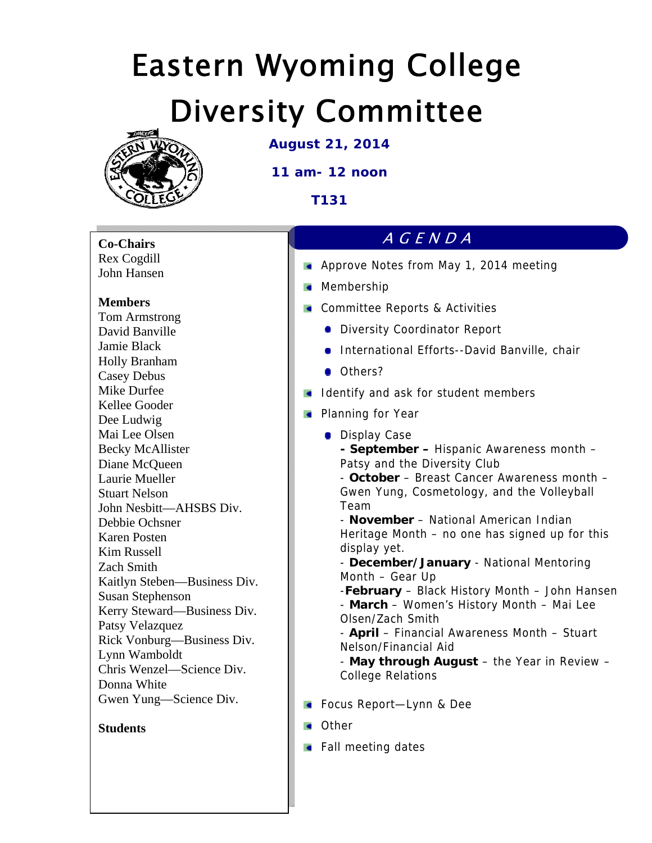# Eastern Wyoming College Diversity Committee



**August 21, 2014** 

**11 am- 12 noon** 

**T131** 

### **Co-Chairs**  Rex Cogdill

John Hansen

## **Members**

Tom Armstrong David Banville Jamie Black Holly Branham Casey Debus Mike Durfee Kellee Gooder Dee Ludwig Mai Lee Olsen Becky McAllister Diane McQueen Laurie Mueller Stuart Nelson John Nesbitt—AHSBS Div. Debbie Ochsner Karen Posten Kim Russell Zach Smith Kaitlyn Steben—Business Div. Susan Stephenson Kerry Steward—Business Div. Patsy Velazquez Rick Vonburg—Business Div. Lynn Wamboldt Chris Wenzel—Science Div. Donna White Gwen Yung—Science Div.

#### **Students**

### AGENDA

- **Approve Notes from May 1, 2014 meeting**
- **Membership**
- **Committee Reports & Activities** 
	- **Diversity Coordinator Report**
	- **International Efforts--David Banville, chair**
	- Others?
- I Identify and ask for student members
- **Planning for Year** 
	- **Display Case** 
		- **September** Hispanic Awareness month Patsy and the Diversity Club
		- **October** Breast Cancer Awareness month Gwen Yung, Cosmetology, and the Volleyball Team
		- **November**  National American Indian Heritage Month – no one has signed up for this display yet.
		- **December/January** National Mentoring Month – Gear Up
		- -**February** Black History Month John Hansen
		- **March**  Women's History Month Mai Lee Olsen/Zach Smith
		- **April**  Financial Awareness Month Stuart Nelson/Financial Aid
		- **May through August** the Year in Review College Relations
- **Focus Report-Lynn & Dee**
- **Cother**
- $\blacksquare$  Fall meeting dates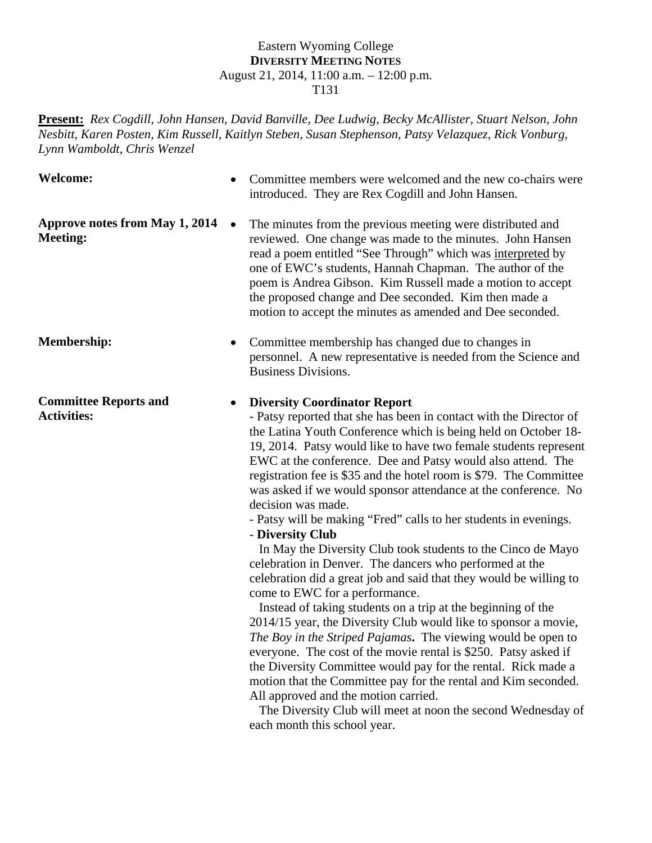#### Eastern Wyoming College **DIVERSITY MEETING NOTES** August 21, 2014, 11:00 a.m. – 12:00 p.m. T131

**Present:** *Rex Cogdill, John Hansen, David Banville, Dee Ludwig, Becky McAllister, Stuart Nelson, John Nesbitt, Karen Posten, Kim Russell, Kaitlyn Steben, Susan Stephenson, Patsy Velazquez, Rick Vonburg, Lynn Wamboldt, Chris Wenzel* 

| <b>Welcome:</b>                                    | Committee members were welcomed and the new co-chairs were<br>introduced. They are Rex Cogdill and John Hansen.                                                                                                                                                                                                                                                                                                                                                                                                                                                                                                                                                                                                                                                                                              |
|----------------------------------------------------|--------------------------------------------------------------------------------------------------------------------------------------------------------------------------------------------------------------------------------------------------------------------------------------------------------------------------------------------------------------------------------------------------------------------------------------------------------------------------------------------------------------------------------------------------------------------------------------------------------------------------------------------------------------------------------------------------------------------------------------------------------------------------------------------------------------|
| Approve notes from May 1, 2014<br><b>Meeting:</b>  | The minutes from the previous meeting were distributed and<br>$\bullet$<br>reviewed. One change was made to the minutes. John Hansen<br>read a poem entitled "See Through" which was interpreted by<br>one of EWC's students, Hannah Chapman. The author of the<br>poem is Andrea Gibson. Kim Russell made a motion to accept<br>the proposed change and Dee seconded. Kim then made a<br>motion to accept the minutes as amended and Dee seconded.                                                                                                                                                                                                                                                                                                                                                          |
| <b>Membership:</b>                                 | Committee membership has changed due to changes in<br>٠<br>personnel. A new representative is needed from the Science and<br><b>Business Divisions.</b>                                                                                                                                                                                                                                                                                                                                                                                                                                                                                                                                                                                                                                                      |
| <b>Committee Reports and</b><br><b>Activities:</b> | <b>Diversity Coordinator Report</b><br>٠<br>- Patsy reported that she has been in contact with the Director of<br>the Latina Youth Conference which is being held on October 18-<br>19, 2014. Patsy would like to have two female students represent<br>EWC at the conference. Dee and Patsy would also attend. The<br>registration fee is \$35 and the hotel room is \$79. The Committee<br>was asked if we would sponsor attendance at the conference. No<br>decision was made.<br>- Patsy will be making "Fred" calls to her students in evenings.<br>- Diversity Club<br>In May the Diversity Club took students to the Cinco de Mayo<br>celebration in Denver. The dancers who performed at the<br>celebration did a great job and said that they would be willing to<br>come to EWC for a performance. |

 Instead of taking students on a trip at the beginning of the 2014/15 year, the Diversity Club would like to sponsor a movie, *The Boy in the Striped Pajamas***.** The viewing would be open to everyone.The cost of the movie rental is \$250. Patsy asked if the Diversity Committee would pay for the rental. Rick made a motion that the Committee pay for the rental and Kim seconded. All approved and the motion carried.

 The Diversity Club will meet at noon the second Wednesday of each month this school year.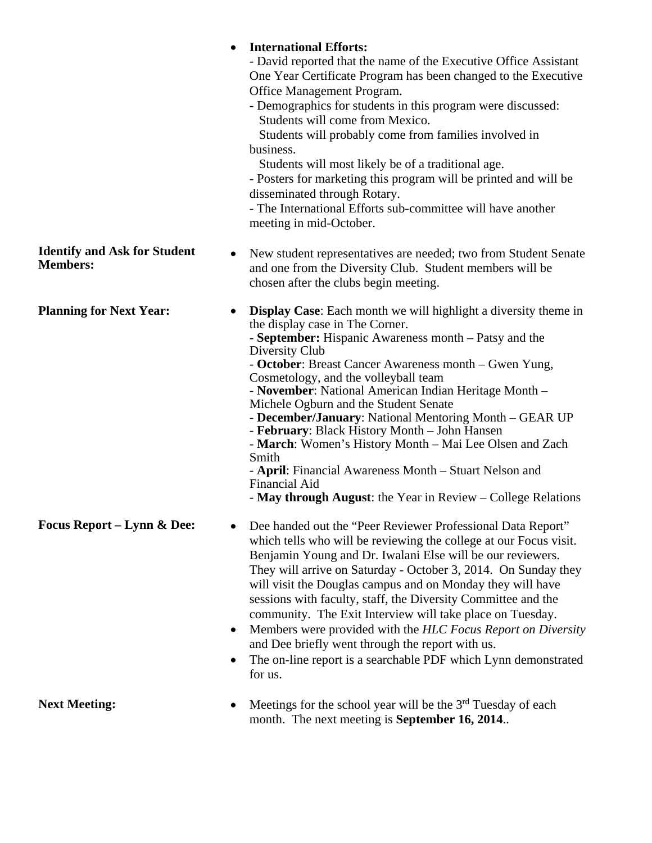|                                                        | <b>International Efforts:</b><br>$\bullet$<br>- David reported that the name of the Executive Office Assistant<br>One Year Certificate Program has been changed to the Executive<br>Office Management Program.<br>- Demographics for students in this program were discussed:<br>Students will come from Mexico.<br>Students will probably come from families involved in<br>business.<br>Students will most likely be of a traditional age.<br>- Posters for marketing this program will be printed and will be<br>disseminated through Rotary.<br>- The International Efforts sub-committee will have another<br>meeting in mid-October.                                                                                     |
|--------------------------------------------------------|--------------------------------------------------------------------------------------------------------------------------------------------------------------------------------------------------------------------------------------------------------------------------------------------------------------------------------------------------------------------------------------------------------------------------------------------------------------------------------------------------------------------------------------------------------------------------------------------------------------------------------------------------------------------------------------------------------------------------------|
| <b>Identify and Ask for Student</b><br><b>Members:</b> | New student representatives are needed; two from Student Senate<br>$\bullet$<br>and one from the Diversity Club. Student members will be<br>chosen after the clubs begin meeting.                                                                                                                                                                                                                                                                                                                                                                                                                                                                                                                                              |
| <b>Planning for Next Year:</b>                         | <b>Display Case:</b> Each month we will highlight a diversity theme in<br>$\bullet$<br>the display case in The Corner.<br>- September: Hispanic Awareness month – Patsy and the<br>Diversity Club<br>- October: Breast Cancer Awareness month – Gwen Yung,<br>Cosmetology, and the volleyball team<br>- November: National American Indian Heritage Month -<br>Michele Ogburn and the Student Senate<br>- December/January: National Mentoring Month – GEAR UP<br>- February: Black History Month – John Hansen<br>- March: Women's History Month – Mai Lee Olsen and Zach<br>Smith<br>- April: Financial Awareness Month – Stuart Nelson and<br>Financial Aid<br>- May through August: the Year in Review – College Relations |
| <b>Focus Report – Lynn &amp; Dee:</b>                  | Dee handed out the "Peer Reviewer Professional Data Report"<br>which tells who will be reviewing the college at our Focus visit.<br>Benjamin Young and Dr. Iwalani Else will be our reviewers.<br>They will arrive on Saturday - October 3, 2014. On Sunday they<br>will visit the Douglas campus and on Monday they will have<br>sessions with faculty, staff, the Diversity Committee and the<br>community. The Exit Interview will take place on Tuesday.<br>Members were provided with the HLC Focus Report on Diversity<br>$\bullet$<br>and Dee briefly went through the report with us.<br>The on-line report is a searchable PDF which Lynn demonstrated<br>$\bullet$<br>for us.                                        |
| <b>Next Meeting:</b>                                   | Meetings for the school year will be the $3rd$ Tuesday of each<br>٠<br>month. The next meeting is <b>September 16, 2014.</b> .                                                                                                                                                                                                                                                                                                                                                                                                                                                                                                                                                                                                 |